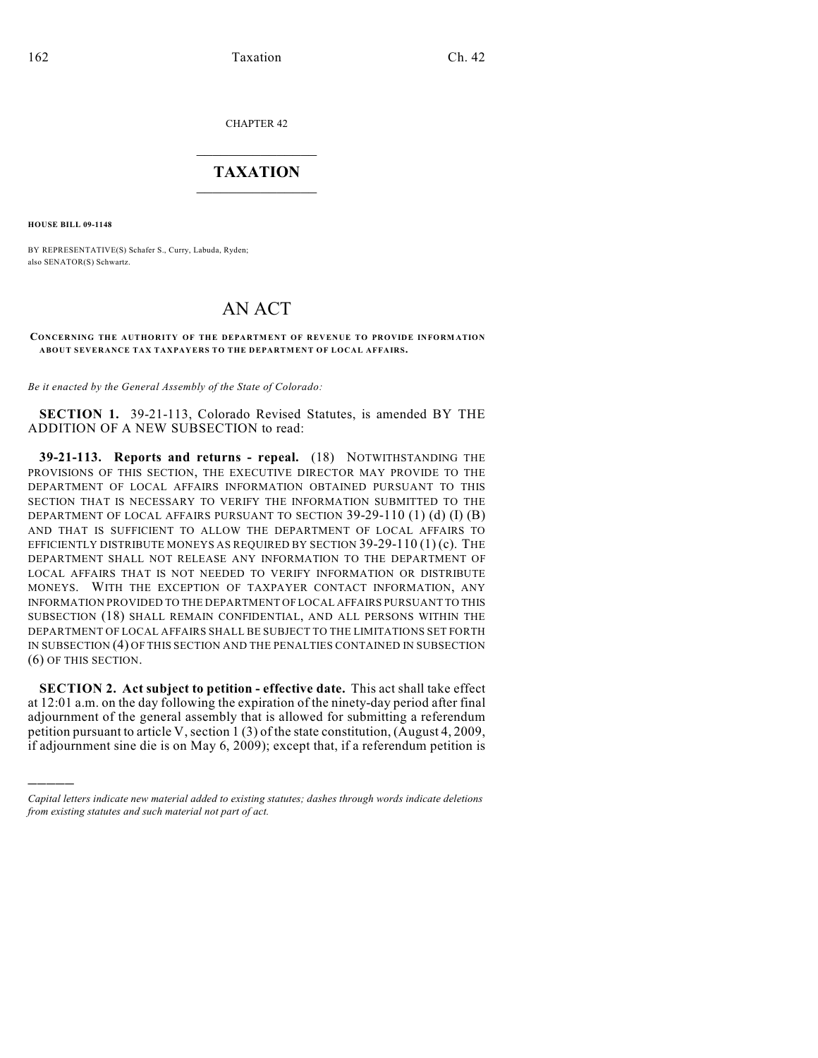CHAPTER 42

## $\overline{\phantom{a}}$  . The set of the set of the set of the set of the set of the set of the set of the set of the set of the set of the set of the set of the set of the set of the set of the set of the set of the set of the set o **TAXATION**  $\_$

**HOUSE BILL 09-1148**

)))))

BY REPRESENTATIVE(S) Schafer S., Curry, Labuda, Ryden; also SENATOR(S) Schwartz.

## AN ACT

## **CONCERNING THE AUTHORITY OF THE DEPARTMENT OF REVENUE TO PROVIDE INFORMATION ABOUT SEVERANCE TAX TAXPAYERS TO THE DEPARTMENT OF LOCAL AFFAIRS.**

*Be it enacted by the General Assembly of the State of Colorado:*

**SECTION 1.** 39-21-113, Colorado Revised Statutes, is amended BY THE ADDITION OF A NEW SUBSECTION to read:

**39-21-113. Reports and returns - repeal.** (18) NOTWITHSTANDING THE PROVISIONS OF THIS SECTION, THE EXECUTIVE DIRECTOR MAY PROVIDE TO THE DEPARTMENT OF LOCAL AFFAIRS INFORMATION OBTAINED PURSUANT TO THIS SECTION THAT IS NECESSARY TO VERIFY THE INFORMATION SUBMITTED TO THE DEPARTMENT OF LOCAL AFFAIRS PURSUANT TO SECTION  $39-29-110$  (1) (d) (I) (B) AND THAT IS SUFFICIENT TO ALLOW THE DEPARTMENT OF LOCAL AFFAIRS TO EFFICIENTLY DISTRIBUTE MONEYS AS REQUIRED BY SECTION 39-29-110 (1) (c). THE DEPARTMENT SHALL NOT RELEASE ANY INFORMATION TO THE DEPARTMENT OF LOCAL AFFAIRS THAT IS NOT NEEDED TO VERIFY INFORMATION OR DISTRIBUTE MONEYS. WITH THE EXCEPTION OF TAXPAYER CONTACT INFORMATION, ANY INFORMATION PROVIDED TO THE DEPARTMENT OF LOCAL AFFAIRS PURSUANT TO THIS SUBSECTION (18) SHALL REMAIN CONFIDENTIAL, AND ALL PERSONS WITHIN THE DEPARTMENT OF LOCAL AFFAIRS SHALL BE SUBJECT TO THE LIMITATIONS SET FORTH IN SUBSECTION (4) OF THIS SECTION AND THE PENALTIES CONTAINED IN SUBSECTION (6) OF THIS SECTION.

**SECTION 2. Act subject to petition - effective date.** This act shall take effect at 12:01 a.m. on the day following the expiration of the ninety-day period after final adjournment of the general assembly that is allowed for submitting a referendum petition pursuant to article V, section 1 (3) of the state constitution, (August 4, 2009, if adjournment sine die is on May 6, 2009); except that, if a referendum petition is

*Capital letters indicate new material added to existing statutes; dashes through words indicate deletions from existing statutes and such material not part of act.*